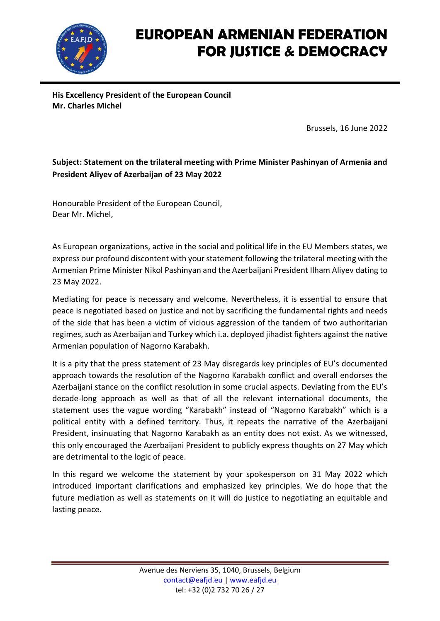

**His Excellency President of the European Council Mr. Charles Michel**

Brussels, 16 June 2022

#### **Subject: Statement on the trilateral meeting with Prime Minister Pashinyan of Armenia and President Aliyev of Azerbaijan of 23 May 2022**

Honourable President of the European Council, Dear Mr. Michel,

As European organizations, active in the social and political life in the EU Members states, we express our profound discontent with your statement following the trilateral meeting with the Armenian Prime Minister Nikol Pashinyan and the Azerbaijani President Ilham Aliyev dating to 23 May 2022.

Mediating for peace is necessary and welcome. Nevertheless, it is essential to ensure that peace is negotiated based on justice and not by sacrificing the fundamental rights and needs of the side that has been a victim of vicious aggression of the tandem of two authoritarian regimes, such as Azerbaijan and Turkey which i.a. deployed jihadist fighters against the native Armenian population of Nagorno Karabakh.

It is a pity that the press statement of 23 May disregards key principles of EU's documented approach towards the resolution of the Nagorno Karabakh conflict and overall endorses the Azerbaijani stance on the conflict resolution in some crucial aspects. Deviating from the EU's decade-long approach as well as that of all the relevant international documents, the statement uses the vague wording "Karabakh" instead of "Nagorno Karabakh" which is a political entity with a defined territory. Thus, it repeats the narrative of the Azerbaijani President, insinuating that Nagorno Karabakh as an entity does not exist. As we witnessed, this only encouraged the Azerbaijani President to publicly express thoughts on 27 May which are detrimental to the logic of peace.

In this regard we welcome the statement by your spokesperson on 31 May 2022 which introduced important clarifications and emphasized key principles. We do hope that the future mediation as well as statements on it will do justice to negotiating an equitable and lasting peace.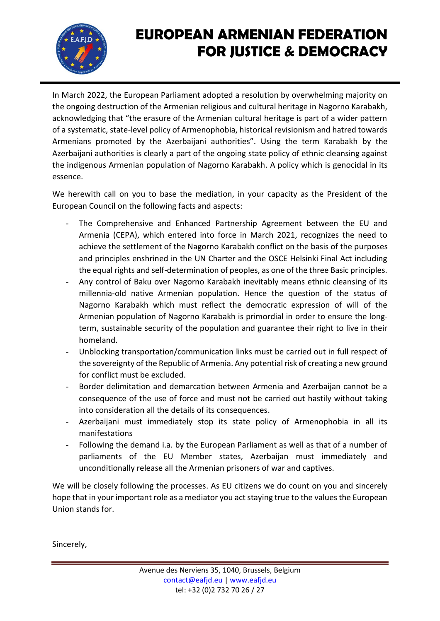

In March 2022, the European Parliament adopted a resolution by overwhelming majority on the ongoing destruction of the Armenian religious and cultural heritage in Nagorno Karabakh, acknowledging that "the erasure of the Armenian cultural heritage is part of a wider pattern of a systematic, state-level policy of Armenophobia, historical revisionism and hatred towards Armenians promoted by the Azerbaijani authorities". Using the term Karabakh by the Azerbaijani authorities is clearly a part of the ongoing state policy of ethnic cleansing against the indigenous Armenian population of Nagorno Karabakh. A policy which is genocidal in its essence.

We herewith call on you to base the mediation, in your capacity as the President of the European Council on the following facts and aspects:

- The Comprehensive and Enhanced Partnership Agreement between the EU and Armenia (CEPA), which entered into force in March 2021, recognizes the need to achieve the settlement of the Nagorno Karabakh conflict on the basis of the purposes and principles enshrined in the UN Charter and the OSCE Helsinki Final Act including the equal rights and self-determination of peoples, as one of the three Basic principles.
- Any control of Baku over Nagorno Karabakh inevitably means ethnic cleansing of its millennia-old native Armenian population. Hence the question of the status of Nagorno Karabakh which must reflect the democratic expression of will of the Armenian population of Nagorno Karabakh is primordial in order to ensure the longterm, sustainable security of the population and guarantee their right to live in their homeland.
- Unblocking transportation/communication links must be carried out in full respect of the sovereignty of the Republic of Armenia. Any potential risk of creating a new ground for conflict must be excluded.
- Border delimitation and demarcation between Armenia and Azerbaijan cannot be a consequence of the use of force and must not be carried out hastily without taking into consideration all the details of its consequences.
- Azerbaijani must immediately stop its state policy of Armenophobia in all its manifestations
- Following the demand i.a. by the European Parliament as well as that of a number of parliaments of the EU Member states, Azerbaijan must immediately and unconditionally release all the Armenian prisoners of war and captives.

We will be closely following the processes. As EU citizens we do count on you and sincerely hope that in your important role as a mediator you act staying true to the values the European Union stands for.

Sincerely,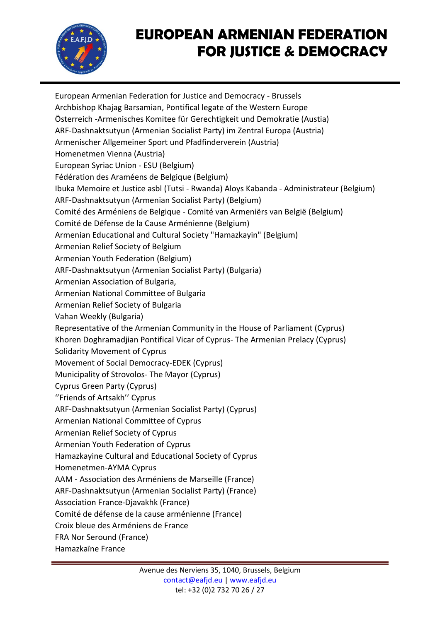

European Armenian Federation for Justice and Democracy - Brussels Archbishop Khajag Barsamian, Pontifical legate of the Western Europe Österreich -Armenisches Komitee für Gerechtigkeit und Demokratie (Austia) ARF-Dashnaktsutyun (Armenian Socialist Party) im Zentral Europa (Austria) Armenischer Allgemeiner Sport und Pfadfinderverein (Austria) Homenetmen Vienna (Austria) European Syriac Union - ESU (Belgium) Fédération des Araméens de Belgique (Belgium) Ibuka Memoire et Justice asbl (Tutsi - Rwanda) Aloys Kabanda - Administrateur (Belgium) ARF-Dashnaktsutyun (Armenian Socialist Party) (Belgium) Comité des Arméniens de Belgique - Comité van Armeniërs van België (Belgium) Comité de Défense de la Cause Arménienne (Belgium) Armenian Educational and Cultural Society "Hamazkayin" (Belgium) Armenian Relief Society of Belgium Armenian Youth Federation (Belgium) ARF-Dashnaktsutyun (Armenian Socialist Party) (Bulgaria) Armenian Association of Bulgaria, Armenian National Committee of Bulgaria Armenian Relief Society of Bulgaria Vahan Weekly (Bulgaria) Representative of the Armenian Community in the House of Parliament (Cyprus) Khoren Doghramadjian Pontifical Vicar of Cyprus- The Armenian Prelacy (Cyprus) Solidarity Movement of Cyprus Movement of Social Democracy-EDEK (Cyprus) Municipality of Strovolos- The Mayor (Cyprus) Cyprus Green Party (Cyprus) ''Friends of Artsakh'' Cyprus ARF-Dashnaktsutyun (Armenian Socialist Party) (Cyprus) Armenian National Committee of Cyprus Armenian Relief Society of Cyprus Armenian Youth Federation of Cyprus Hamazkayine Cultural and Educational Society of Cyprus Homenetmen-AYMA Cyprus AAM - Association des Arméniens de Marseille (France) ARF-Dashnaktsutyun (Armenian Socialist Party) (France) Association France-Djavakhk (France) Comité de défense de la cause arménienne (France) Croix bleue des Arméniens de France FRA Nor Seround (France) Hamazkaïne France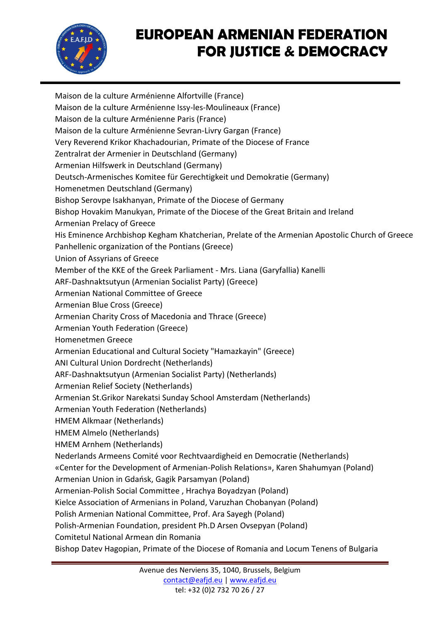

Maison de la culture Arménienne Alfortville (France) Maison de la culture Arménienne Issy-les-Moulineaux (France) Maison de la culture Arménienne Paris (France) Maison de la culture Arménienne Sevran-Livry Gargan (France) Very Reverend Krikor Khachadourian, Primate of the Diocese of France Zentralrat der Armenier in Deutschland (Germany) Armenian Hilfswerk in Deutschland (Germany) Deutsch-Armenisches Komitee für Gerechtigkeit und Demokratie (Germany) Homenetmen Deutschland (Germany) Bishop Serovpe Isakhanyan, Primate of the Diocese of Germany Bishop Hovakim Manukyan, Primate of the Diocese of the Great Britain and Ireland Armenian Prelacy of Greece His Εminence Archbishop Kegham Khatcherian, Prelate of the Armenian Apostolic Church of Greece Panhellenic organization of the Pontians (Greece) Union of Assyrians of Greece Member of the KKE of the Greek Parliament - Mrs. Liana (Garyfallia) Kanelli ARF-Dashnaktsutyun (Armenian Socialist Party) (Greece) Armenian National Committee of Greece Armenian Blue Cross (Greece) Armenian Charity Cross of Macedonia and Thrace (Greece) Armenian Youth Federation (Greece) Homenetmen Greece Armenian Educational and Cultural Society "Hamazkayin" (Greece) ANI Cultural Union Dordrecht (Netherlands) ARF-Dashnaktsutyun (Armenian Socialist Party) (Netherlands) Armenian Relief Society (Netherlands) Armenian St.Grikor Narekatsi Sunday School Amsterdam (Netherlands) Armenian Youth Federation (Netherlands) HMEM Alkmaar (Netherlands) HMEM Almelo (Netherlands) HMEM Arnhem (Netherlands) Nederlands Armeens Comité voor Rechtvaardigheid en Democratie (Netherlands) «Center for the Development of Armenian-Polish Relations», Karen Shahumyan (Poland) Armenian Union in Gdańsk, Gagik Parsamyan (Poland) Armenian-Polish Social Committee , Hrachya Boyadzyan (Poland) Kielce Association of Armenians in Poland, Varuzhan Chobanyan (Poland) Polish Armenian National Committee, Prof․ Ara Sayegh (Poland) Polish-Armenian Foundation, president Ph.D Arsen Ovsepyan (Poland) Comitetul National Armean din Romania Bishop Datev Hagopian, Primate of the Diocese of Romania and Locum Tenens of Bulgaria